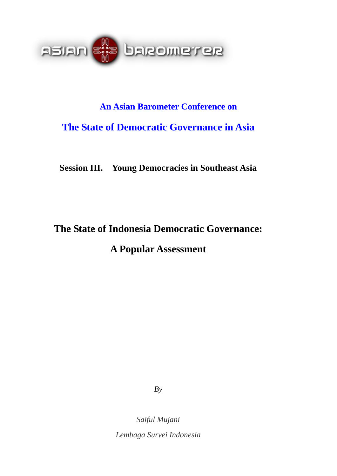

# **An Asian Barometer Conference on The State of Democratic Governance in Asia**

**Session III. Young Democracies in Southeast Asia** 

# **The State of Indonesia Democratic Governance: A Popular Assessment**

*By* 

*Saiful Mujani Lembaga Survei Indonesia*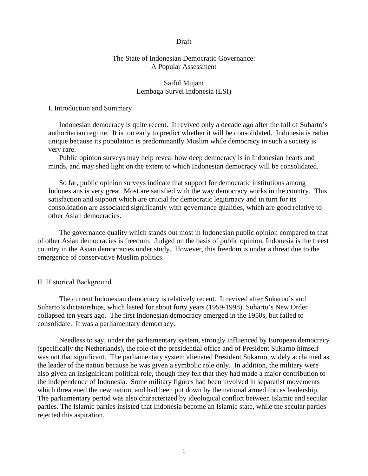#### Draft

## The State of Indonesian Democratic Governance: A Popular Assessment

### Saiful Mujani Lembaga Survei Indonesia (LSI)

#### I. Introduction and Summary

 Indonesian democracy is quite recent. It revived only a decade ago after the fall of Suharto's authoritarian regime. It is too early to predict whether it will be consolidated. Indonesia is rather unique because its population is predominantly Muslim while democracy in such a society is very rare.

Public opinion surveys may help reveal how deep democracy is in Indonesian hearts and minds, and may shed light on the extent to which Indonesian democracy will be consolidated.

So far, public opinion surveys indicate that support for democratic institutions among Indonesians is very great. Most are satisfied with the way democracy works in the country. This satisfaction and support which are crucial for democratic legitimacy and in turn for its consolidation are associated significantly with governance qualities, which are good relative to other Asian democracies.

 The governance quality which stands out most in Indonesian public opinion compared to that of other Asian democracies is freedom. Judged on the basis of public opinion, Indonesia is the freest country in the Asian democracies under study. However, this freedom is under a threat due to the emergence of conservative Muslim politics.

#### II. Historical Background

 The current Indonesian democracy is relatively recent. It revived after Sukarno's and Suharto's dictatorships, which lasted for about forty years (1959-1998). Suharto's New Order collapsed ten years ago. The first Indonesian democracy emerged in the 1950s, but failed to consolidate. It was a parliamentary democracy.

 Needless to say, under the parliamentary system, strongly influenced by European democracy (specifically the Netherlands), the role of the presidential office and of President Sukarno himself was not that significant. The parliamentary system alienated President Sukarno, widely acclaimed as the leader of the nation because he was given a symbolic role only. In addition, the military were also given an insignificant political role, though they felt that they had made a major contribution to the independence of Indonesia. Some military figures had been involved in separatist movements which threatened the new nation, and had been put down by the national armed forces leadership. The parliamentary period was also characterized by ideological conflict between Islamic and secular parties. The Islamic parties insisted that Indonesia become an Islamic state, while the secular parties rejected this aspiration.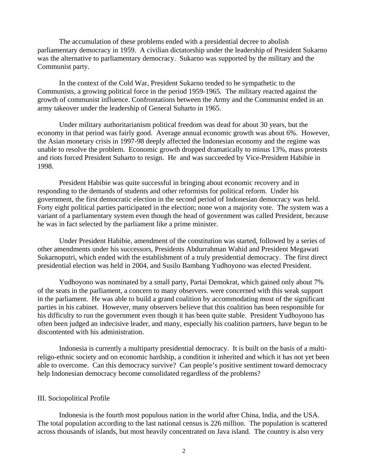The accumulation of these problems ended with a presidential decree to abolish parliamentary democracy in 1959. A civilian dictatorship under the leadership of President Sukarno was the alternative to parliamentary democracy. Sukarno was supported by the military and the Communist party.

 In the context of the Cold War, President Sukarno tended to be sympathetic to the Communists, a growing political force in the period 1959-1965. The military reacted against the growth of communist influence. Confrontations between the Army and the Communist ended in an army takeover under the leadership of General Suharto in 1965.

 Under military authoritarianism political freedom was dead for about 30 years, but the economy in that period was fairly good. Average annual economic growth was about 6%. However, the Asian monetary crisis in 1997-98 deeply affected the Indonesian economy and the regime was unable to resolve the problem. Economic growth dropped dramatically to minus 13%, mass protests and riots forced President Suharto to resign. He and was succeeded by Vice-President Habibie in 1998.

 President Habibie was quite successful in bringing about economic recovery and in responding to the demands of students and other reformists for political reform. Under his government, the first democratic election in the second period of Indonesian democracy was held. Forty eight political parties participated in the election; none won a majority vote. The system was a variant of a parliamentary system even though the head of government was called President, because he was in fact selected by the parliament like a prime minister.

 Under President Habibie, amendment of the constitution was started, followed by a series of other amendments under his successors, Presidents Abdurrahman Wahid and President Megawati Sukarnoputri, which ended with the establishment of a truly presidential democracy. The first direct presidential election was held in 2004, and Susilo Bambang Yudhoyono was elected President.

 Yudhoyono was nominated by a small party, Partai Demokrat, which gained only about 7% of the seats in the parliament, a concern to many observers. were concerned with this weak support in the parliament. He was able to build a grand coalition by accommodating most of the significant parties in his cabinet. However, many observers believe that this coalition has been responsible for his difficulty to run the government even though it has been quite stable. President Yudhoyono has often been judged an indecisive leader, and many, especially his coalition partners, have begun to be discontented with his administration.

 Indonesia is currently a multiparty presidential democracy. It is built on the basis of a multireligo-ethnic society and on economic hardship, a condition it inherited and which it has not yet been able to overcome. Can this democracy survive? Can people's positive sentiment toward democracy help Indonesian democracy become consolidated regardless of the problems?

#### III. Sociopolitical Profile

 Indonesia is the fourth most populous nation in the world after China, India, and the USA. The total population according to the last national census is 226 million. The population is scattered across thousands of islands, but most heavily concentrated on Java island. The country is also very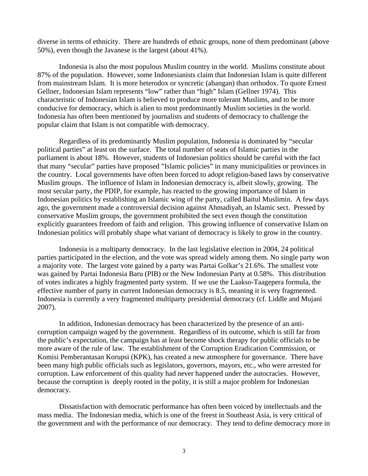diverse in terms of ethnicity. There are hundreds of ethnic groups, none of them predominant (above 50%), even though the Javanese is the largest (about 41%).

 Indonesia is also the most populous Muslim country in the world. Muslims constitute about 87% of the population. However, some Indonesianists claim that Indonesian Islam is quite different from mainstream Islam. It is more heterodox or syncretic (abangan) than orthodox. To quote Ernest Gellner, Indonesian Islam represents "low" rather than "high" Islam (Gellner 1974). This characteristic of Indonesian Islam is believed to produce more tolerant Muslims, and to be more conducive for democracy, which is alien to most predominantly Muslim societies in the world. Indonesia has often been mentioned by journalists and students of democracy to challenge the popular claim that Islam is not compatible with democracy.

 Regardless of its predominantly Muslim population, Indonesia is dominated by "secular political parties" at least on the surface. The total number of seats of Islamic parties in the parliament is about 18%. However, students of Indonesian politics should be careful with the fact that many "secular" parties have proposed "Islamic policies" in many municipalities or provinces in the country. Local governments have often been forced to adopt religion-based laws by conservative Muslim groups. The influence of Islam in Indonesian democracy is, albeit slowly, growing. The most secular party, the PDIP, for example, has reacted to the growing importance of Islam in Indonesian politics by establishing an Islamic wing of the party, called Baitul Muslimin. A few days ago, the government made a controversial decision against Ahmadiyah, an Islamic sect. Pressed by conservative Muslim groups, the government prohibited the sect even though the constitution explicitly guarantees freedom of faith and religion. This growing influence of conservative Islam on Indonesian politics will probably shape what variant of democracy is likely to grow in the country.

 Indonesia is a multiparty democracy. In the last legislative election in 2004, 24 political parties participated in the election, and the vote was spread widely among them. No single party won a majority vote. The largest vote gained by a party was Partai Golkar's 21.6%. The smallest vote was gained by Partai Indonesia Baru (PIB) or the New Indonesian Party at 0.58%. This distribution of votes indicates a highly fragmented party system. If we use the Laakso-Taagepera formula, the effective number of party in current Indonesian democracy is 8.5, meaning it is very fragmented. Indonesia is currently a very fragmented multiparty presidential democracy (cf. Liddle and Mujani 2007).

 In addition, Indonesian democracy has been characterized by the presence of an anticorruption campaign waged by the government. Regardless of its outcome, which is still far from the public's expectation, the campaign has at least become shock therapy for public officials to be more aware of the rule of law. The establishment of the Corruption Eradication Commission, or Komisi Pemberantasan Korupsi (KPK), has created a new atmosphere for governance. There have been many high public officials such as legislators, governors, mayors, etc., who were arrested for corruption. Law enforcement of this quality had never happened under the autocracies. However, because the corruption is deeply rooted in the polity, it is still a major problem for Indonesian democracy.

 Dissatisfaction with democratic performance has often been voiced by intellectuals and the mass media. The Indonesian media, which is one of the freest in Southeast Asia, is very critical of the government and with the performance of our democracy. They tend to define democracy more in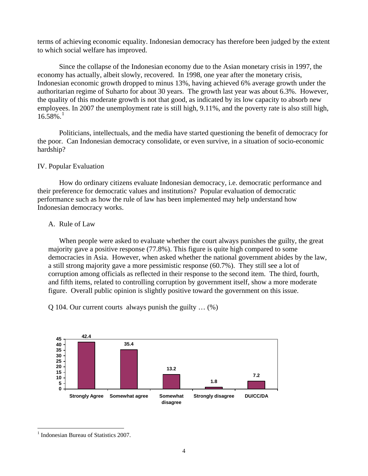terms of achieving economic equality. Indonesian democracy has therefore been judged by the extent to which social welfare has improved.

 Since the collapse of the Indonesian economy due to the Asian monetary crisis in 1997, the economy has actually, albeit slowly, recovered. In 1998, one year after the monetary crisis, Indonesian economic growth dropped to minus 13%, having achieved 6% average growth under the authoritarian regime of Suharto for about 30 years. The growth last year was about 6.3%. However, the quality of this moderate growth is not that good, as indicated by its low capacity to absorb new employees. In 2007 the unemployment rate is still high, 9.11%, and the poverty rate is also still high,  $16.58\%$  $16.58\%$ <sup>1</sup>

 Politicians, intellectuals, and the media have started questioning the benefit of democracy for the poor. Can Indonesian democracy consolidate, or even survive, in a situation of socio-economic hardship?

# IV. Popular Evaluation

 How do ordinary citizens evaluate Indonesian democracy, i.e. democratic performance and their preference for democratic values and institutions? Popular evaluation of democratic performance such as how the rule of law has been implemented may help understand how Indonesian democracy works.

# A. Rule of Law

 When people were asked to evaluate whether the court always punishes the guilty, the great majority gave a positive response (77.8%). This figure is quite high compared to some democracies in Asia. However, when asked whether the national government abides by the law, a still strong majority gave a more pessimistic response (60.7%). They still see a lot of corruption among officials as reflected in their response to the second item. The third, fourth, and fifth items, related to controlling corruption by government itself, show a more moderate figure. Overall public opinion is slightly positive toward the government on this issue.

Q 104. Our current courts always punish the guilty … (%)



<span id="page-4-0"></span><sup>&</sup>lt;sup>1</sup> Indonesian Bureau of Statistics 2007.

 $\overline{a}$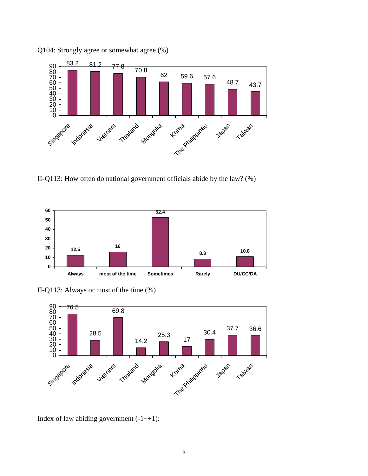

Q104: Strongly agree or somewhat agree (%)

II-Q113: How often do national government officials abide by the law? (%)



II-Q113: Always or most of the time (%)



Index of law abiding government  $(-1 - 1)$ :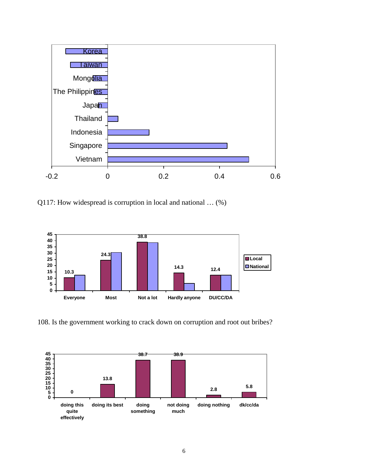

Q117: How widespread is corruption in local and national … (%)



108. Is the government working to crack down on corruption and root out bribes?

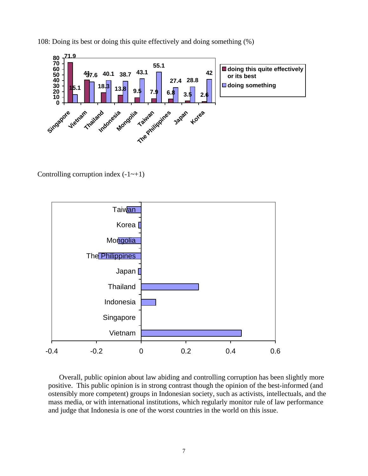108: Doing its best or doing this quite effectively and doing something (%)



Controlling corruption index  $(-1 - 1)$ 



 Overall, public opinion about law abiding and controlling corruption has been slightly more positive. This public opinion is in strong contrast though the opinion of the best-informed (and ostensibly more competent) groups in Indonesian society, such as activists, intellectuals, and the mass media, or with international institutions, which regularly monitor rule of law performance and judge that Indonesia is one of the worst countries in the world on this issue.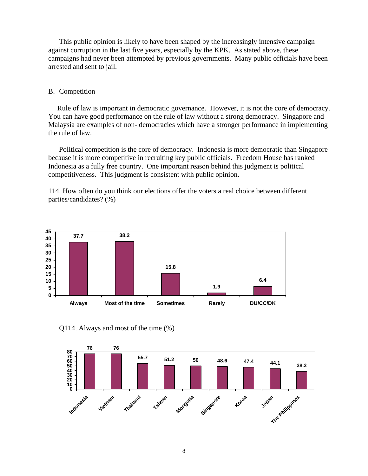This public opinion is likely to have been shaped by the increasingly intensive campaign against corruption in the last five years, especially by the KPK. As stated above, these campaigns had never been attempted by previous governments. Many public officials have been arrested and sent to jail.

#### B. Competition

 Rule of law is important in democratic governance. However, it is not the core of democracy. You can have good performance on the rule of law without a strong democracy. Singapore and Malaysia are examples of non- democracies which have a stronger performance in implementing the rule of law.

 Political competition is the core of democracy. Indonesia is more democratic than Singapore because it is more competitive in recruiting key public officials. Freedom House has ranked Indonesia as a fully free country. One important reason behind this judgment is political competitiveness. This judgment is consistent with public opinion.

114. How often do you think our elections offer the voters a real choice between different parties/candidates? (%)



#### Q114. Always and most of the time (%)

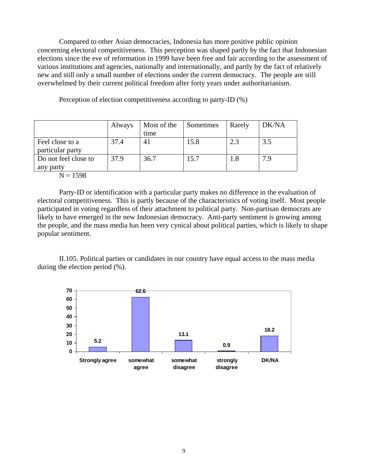Compared to other Asian democracies, Indonesia has more positive public opinion concerning electoral competitiveness. This perception was shaped partly by the fact that Indonesian elections since the eve of reformation in 1999 have been free and fair according to the assessment of various institutions and agencies, nationally and internationally, and partly by the fact of relatively new and still only a small number of elections under the current democracy. The people are still overwhelmed by their current political freedom after forty years under authoritarianism.

Perception of election competitiveness according to party-ID (%)

|                                     | Always | Most of the<br>time | Sometimes | Rarely | DK/NA |
|-------------------------------------|--------|---------------------|-----------|--------|-------|
| Feel close to a<br>particular party | 37.4   | 41                  | 15.8      | 2.3    | 3.5   |
| Do not feel close to<br>any party   | 37.9   | 36.7                | 15.7      |        | 7.9   |

 $N = 1598$ 

Party-ID or identification with a particular party makes no difference in the evaluation of electoral competitiveness. This is partly because of the characteristics of voting itself. Most people participated in voting regardless of their attachment to political party. Non-partisan democrats are likely to have emerged in the new Indonesian democracy. Anti-party sentiment is growing among the people, and the mass media has been very cynical about political parties, which is likely to shape popular sentiment.

II.105. Political parties or candidates in our country have equal access to the mass media during the election period (%).

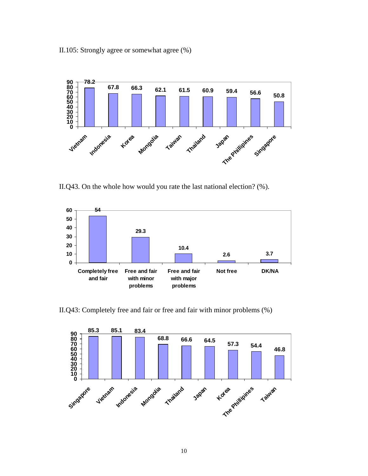II.105: Strongly agree or somewhat agree (%)



II.Q43. On the whole how would you rate the last national election? (%).



II.Q43: Completely free and fair or free and fair with minor problems (%)

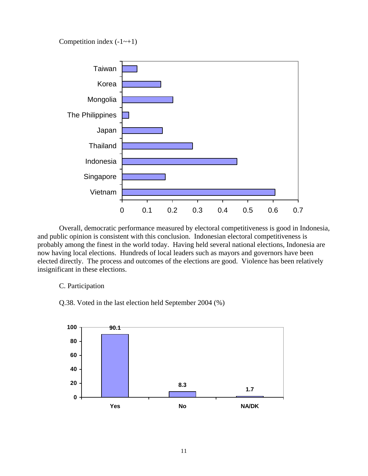Competition index  $(-1 - 1)$ 



Overall, democratic performance measured by electoral competitiveness is good in Indonesia, and public opinion is consistent with this conclusion. Indonesian electoral competitiveness is probably among the finest in the world today. Having held several national elections, Indonesia are now having local elections. Hundreds of local leaders such as mayors and governors have been elected directly. The process and outcomes of the elections are good. Violence has been relatively insignificant in these elections.

#### C. Participation

Q.38. Voted in the last election held September 2004 (%)

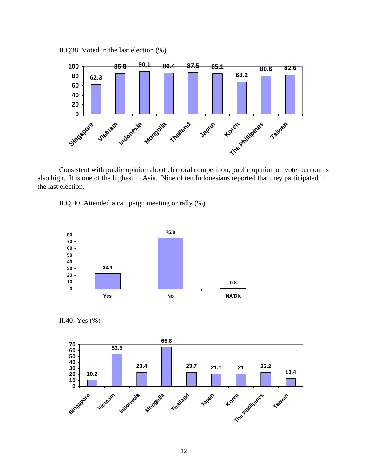



 Consistent with public opinion about electoral competition, public opinion on voter turnout is also high. It is one of the highest in Asia. Nine of ten Indonesians reported that they participated in the last election.

II.Q.40. Attended a campaign meeting or rally (%)



II.40: Yes (%)

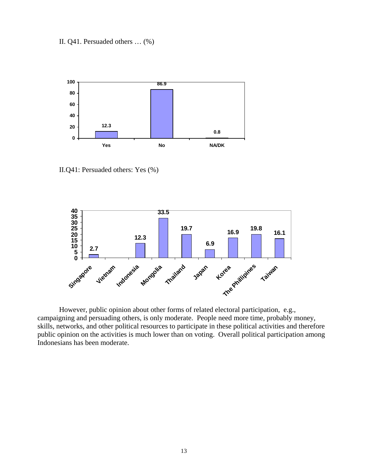II. Q41. Persuaded others … (%)



II.Q41: Persuaded others: Yes (%)



 However, public opinion about other forms of related electoral participation, e.g., campaigning and persuading others, is only moderate. People need more time, probably money, skills, networks, and other political resources to participate in these political activities and therefore public opinion on the activities is much lower than on voting. Overall political participation among Indonesians has been moderate.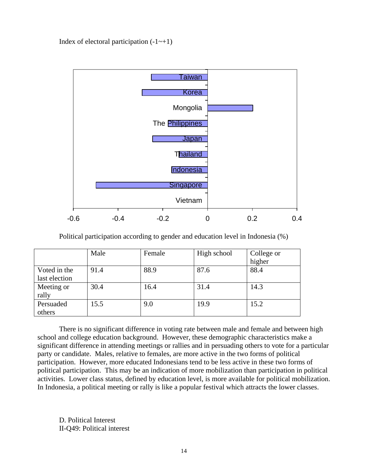Index of electoral participation  $(-1 - 1)$ 



Political participation according to gender and education level in Indonesia (%)

|                               | Male | Female | High school | College or<br>higher |
|-------------------------------|------|--------|-------------|----------------------|
| Voted in the<br>last election | 91.4 | 88.9   | 87.6        | 88.4                 |
| Meeting or<br>rally           | 30.4 | 16.4   | 31.4        | 14.3                 |
| Persuaded<br>others           | 15.5 | 9.0    | 19.9        | 15.2                 |

There is no significant difference in voting rate between male and female and between high school and college education background. However, these demographic characteristics make a significant difference in attending meetings or rallies and in persuading others to vote for a particular party or candidate. Males, relative to females, are more active in the two forms of political participation. However, more educated Indonesians tend to be less active in these two forms of political participation. This may be an indication of more mobilization than participation in political activities. Lower class status, defined by education level, is more available for political mobilization. In Indonesia, a political meeting or rally is like a popular festival which attracts the lower classes.

D. Political Interest II-Q49: Political interest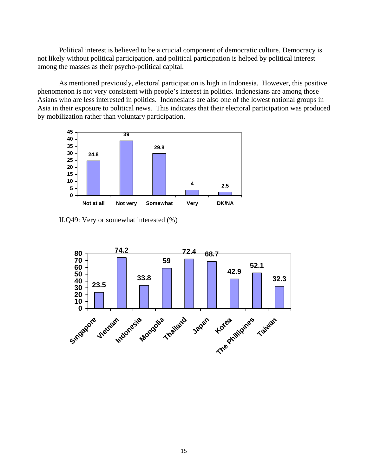Political interest is believed to be a crucial component of democratic culture. Democracy is not likely without political participation, and political participation is helped by political interest among the masses as their psycho-political capital.

As mentioned previously, electoral participation is high in Indonesia. However, this positive phenomenon is not very consistent with people's interest in politics. Indonesians are among those Asians who are less interested in politics. Indonesians are also one of the lowest national groups in Asia in their exposure to political news. This indicates that their electoral participation was produced by mobilization rather than voluntary participation.



II.Q49: Very or somewhat interested (%)

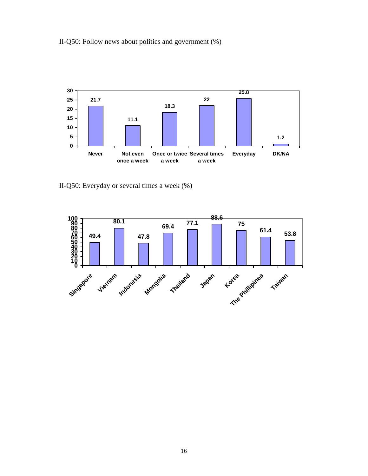II-Q50: Follow news about politics and government (%)



II-Q50: Everyday or several times a week (%)

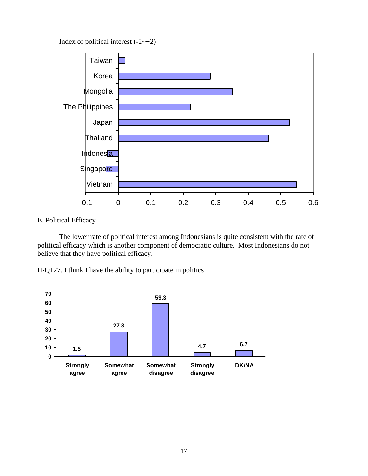Index of political interest  $(-2 \rightarrow +2)$ 



# E. Political Efficacy

 The lower rate of political interest among Indonesians is quite consistent with the rate of political efficacy which is another component of democratic culture. Most Indonesians do not believe that they have political efficacy.

II-Q127. I think I have the ability to participate in politics

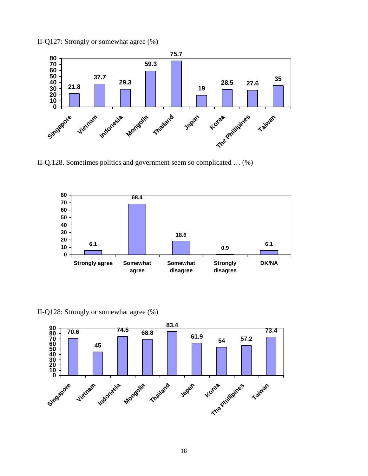II-Q127: Strongly or somewhat agree (%)



II-Q.128. Sometimes politics and government seem so complicated … (%)



II-Q128: Strongly or somewhat agree (%)

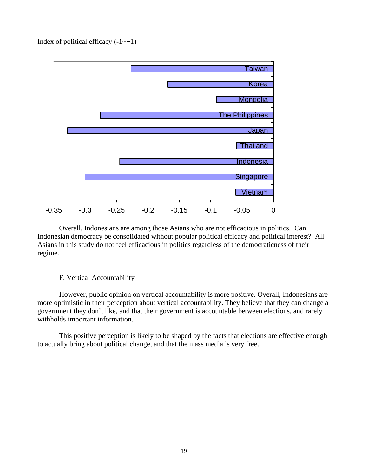Index of political efficacy  $(-1 \rightarrow +1)$ 



 Overall, Indonesians are among those Asians who are not efficacious in politics. Can Indonesian democracy be consolidated without popular political efficacy and political interest? All Asians in this study do not feel efficacious in politics regardless of the democraticness of their regime.

## F. Vertical Accountability

However, public opinion on vertical accountability is more positive. Overall, Indonesians are more optimistic in their perception about vertical accountability. They believe that they can change a government they don't like, and that their government is accountable between elections, and rarely withholds important information.

This positive perception is likely to be shaped by the facts that elections are effective enough to actually bring about political change, and that the mass media is very free.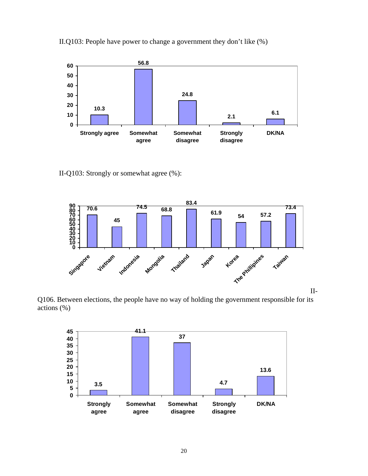II.Q103: People have power to change a government they don't like (%)



II-Q103: Strongly or somewhat agree (%):



Q106. Between elections, the people have no way of holding the government responsible for its actions (%)

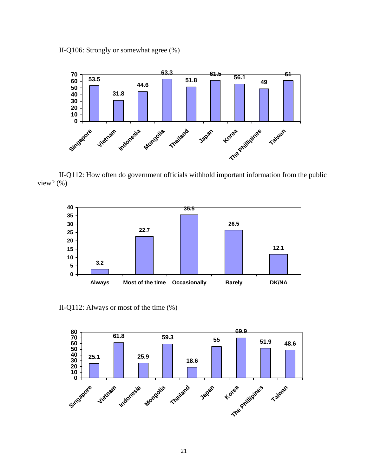II-Q106: Strongly or somewhat agree (%)



II-Q112: How often do government officials withhold important information from the public view? (%)



II-Q112: Always or most of the time (%)

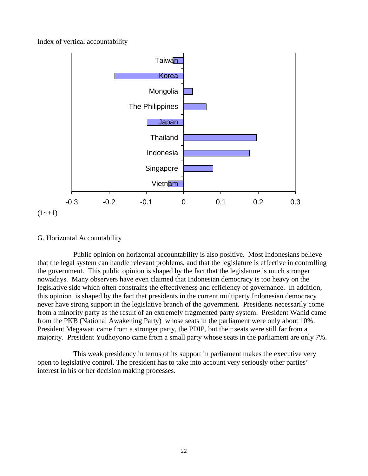Index of vertical accountability



### G. Horizontal Accountability

 Public opinion on horizontal accountability is also positive. Most Indonesians believe that the legal system can handle relevant problems, and that the legislature is effective in controlling the government. This public opinion is shaped by the fact that the legislature is much stronger nowadays. Many observers have even claimed that Indonesian democracy is too heavy on the legislative side which often constrains the effectiveness and efficiency of governance. In addition, this opinion is shaped by the fact that presidents in the current multiparty Indonesian democracy never have strong support in the legislative branch of the government. Presidents necessarily come from a minority party as the result of an extremely fragmented party system. President Wahid came from the PKB (National Awakening Party) whose seats in the parliament were only about 10%. President Megawati came from a stronger party, the PDIP, but their seats were still far from a majority. President Yudhoyono came from a small party whose seats in the parliament are only 7%.

 This weak presidency in terms of its support in parliament makes the executive very open to legislative control. The president has to take into account very seriously other parties' interest in his or her decision making processes.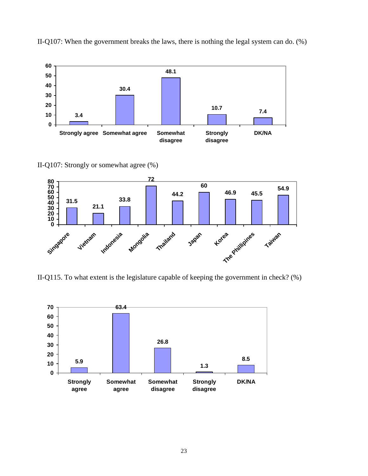

II-Q107: When the government breaks the laws, there is nothing the legal system can do. (%)

II-Q107: Strongly or somewhat agree (%)



II-Q115. To what extent is the legislature capable of keeping the government in check? (%)

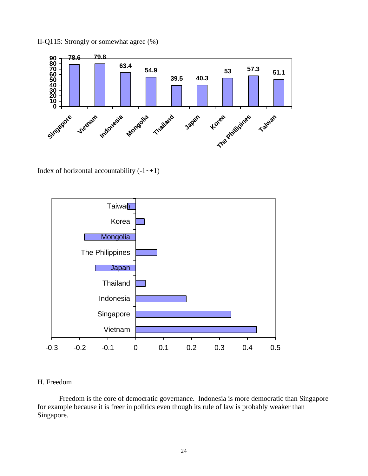II-Q115: Strongly or somewhat agree (%)



Index of horizontal accountability  $(-1 \rightarrow +1)$ 



# H. Freedom

 Freedom is the core of democratic governance. Indonesia is more democratic than Singapore for example because it is freer in politics even though its rule of law is probably weaker than Singapore.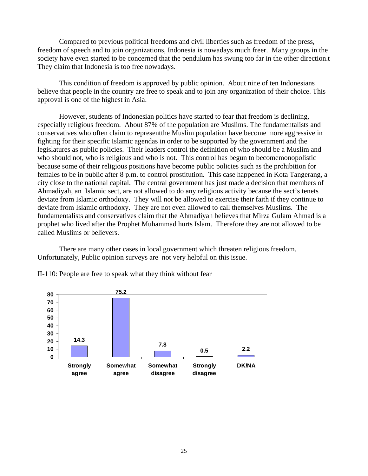Compared to previous political freedoms and civil liberties such as freedom of the press, freedom of speech and to join organizations, Indonesia is nowadays much freer. Many groups in the society have even started to be concerned that the pendulum has swung too far in the other direction.t They claim that Indonesia is too free nowadays.

 This condition of freedom is approved by public opinion. About nine of ten Indonesians believe that people in the country are free to speak and to join any organization of their choice. This approval is one of the highest in Asia.

 However, students of Indonesian politics have started to fear that freedom is declining, especially religious freedom. About 87% of the population are Muslims. The fundamentalists and conservatives who often claim to representthe Muslim population have become more aggressive in fighting for their specific Islamic agendas in order to be supported by the government and the legislatures as public policies. Their leaders control the definition of who should be a Muslim and who should not, who is religious and who is not. This control has begun to becomemonopolistic because some of their religious positions have become public policies such as the prohibition for females to be in public after 8 p.m. to control prostitution. This case happened in Kota Tangerang, a city close to the national capital. The central government has just made a decision that members of Ahmadiyah, an Islamic sect, are not allowed to do any religious activity because the sect's tenets deviate from Islamic orthodoxy. They will not be allowed to exercise their faith if they continue to deviate from Islamic orthodoxy. They are not even allowed to call themselves Muslims. The fundamentalists and conservatives claim that the Ahmadiyah believes that Mirza Gulam Ahmad is a prophet who lived after the Prophet Muhammad hurts Islam. Therefore they are not allowed to be called Muslims or believers.

 There are many other cases in local government which threaten religious freedom. Unfortunately, Public opinion surveys are not very helpful on this issue.



II-110: People are free to speak what they think without fear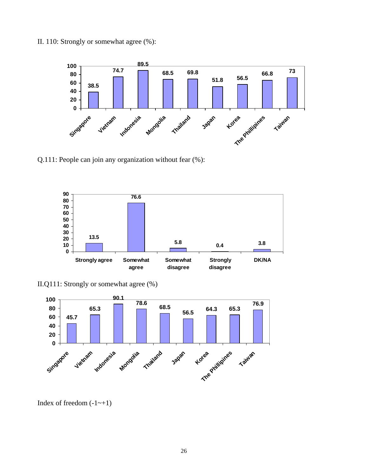II. 110: Strongly or somewhat agree (%):



Q.111: People can join any organization without fear (%):



II.Q111: Strongly or somewhat agree (%)



Index of freedom  $(-1 - 1)$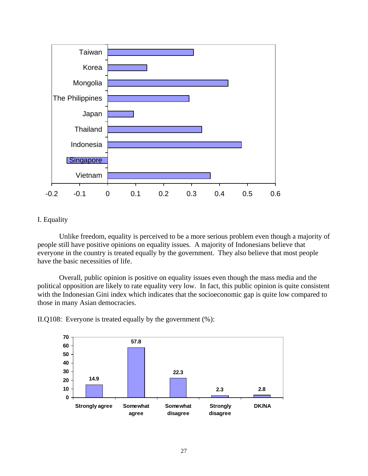

# I. Equality

 Unlike freedom, equality is perceived to be a more serious problem even though a majority of people still have positive opinions on equality issues. A majority of Indonesians believe that everyone in the country is treated equally by the government. They also believe that most people have the basic necessities of life.

 Overall, public opinion is positive on equality issues even though the mass media and the political opposition are likely to rate equality very low. In fact, this public opinion is quite consistent with the Indonesian Gini index which indicates that the socioeconomic gap is quite low compared to those in many Asian democracies.

II.Q108: Everyone is treated equally by the government (%):

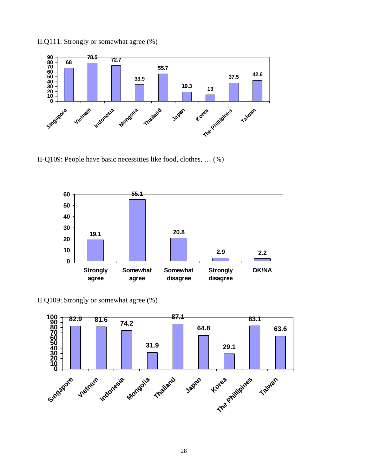

II.Q111: Strongly or somewhat agree (%)

II-Q109: People have basic necessities like food, clothes, … (%)



II.Q109: Strongly or somewhat agree (%)

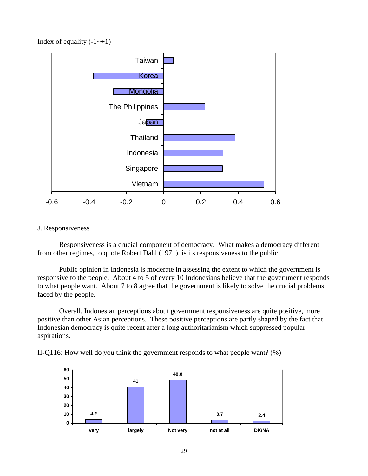Index of equality  $(-1 \rightarrow +1)$ 



## J. Responsiveness

 Responsiveness is a crucial component of democracy. What makes a democracy different from other regimes, to quote Robert Dahl (1971), is its responsiveness to the public.

 Public opinion in Indonesia is moderate in assessing the extent to which the government is responsive to the people. About 4 to 5 of every 10 Indonesians believe that the government responds to what people want. About 7 to 8 agree that the government is likely to solve the crucial problems faced by the people.

 Overall, Indonesian perceptions about government responsiveness are quite positive, more positive than other Asian perceptions. These positive perceptions are partly shaped by the fact that Indonesian democracy is quite recent after a long authoritarianism which suppressed popular aspirations.



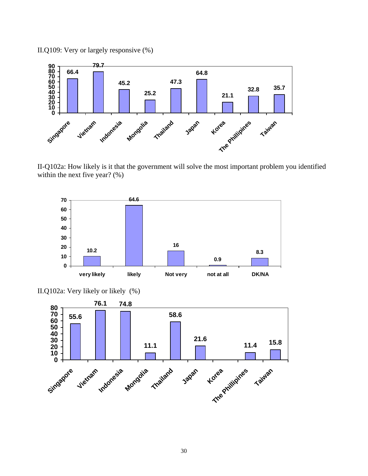

II-Q102a: How likely is it that the government will solve the most important problem you identified within the next five year? (%)



II.Q102a: Very likely or likely (%)



II.Q109: Very or largely responsive (%)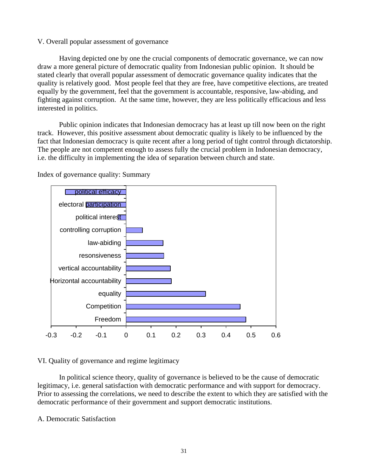## V. Overall popular assessment of governance

Having depicted one by one the crucial components of democratic governance, we can now quality is relatively good. Most people feel that they are free, have competitive elections, are treated fighting against corruption. At the same time, however, they are less politically efficacious and less draw a more general picture of democratic quality from Indonesian public opinion. It should be stated clearly that overall popular assessment of democratic governance quality indicates that the equally by the government, feel that the government is accountable, responsive, law-abiding, and interested in politics.

Public opinion indicates that Indonesian democracy has at least up till now been on the right fact that Indonesian democracy is quite recent after a long period of tight control through dictatorship. track. However, this positive assessment about democratic quality is likely to be influenced by the The people are not competent enough to assess fully the crucial problem in Indonesian democracy, i.e. the difficulty in implementing the idea of separation between church and state.



Index of governance quality: Summary

VI. Quality of governance and regime legitimacy

In political science theory, quality of governance is believed to be the cause of democratic legitimacy, i.e. general satisfaction with democratic performance and with support for democracy. Prior to assessing the correlations, we need to describe the extent to which they are satisfied with the democratic performance of their government and support democratic institutions.

#### . Democratic Satisfaction A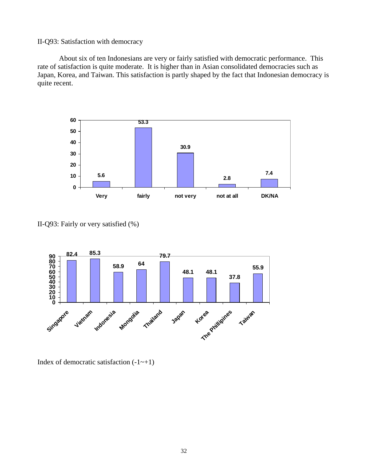#### II-Q93: Satisfaction with democracy

About six of ten Indonesians are very or fairly satisfied with democratic performance. This Japan, Korea, and Taiwan. This satisfaction is partly shaped by the fact that Indonesian democracy is rate of satisfaction is quite moderate. It is higher than in Asian consolidated democracies such as quite recent.



II-Q93: Fairly or very satisfied (%)



Index of democratic satisfaction  $(-1 - 1)$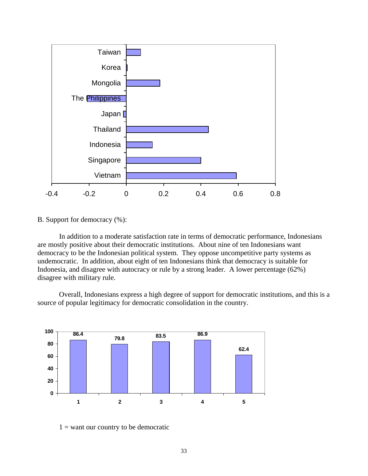

B. Support for democracy (%):

 In addition to a moderate satisfaction rate in terms of democratic performance, Indonesians are mostly positive about their democratic institutions. About nine of ten Indonesians want democracy to be the Indonesian political system. They oppose uncompetitive party systems as undemocratic. In addition, about eight of ten Indonesians think that democracy is suitable for Indonesia, and disagree with autocracy or rule by a strong leader. A lower percentage (62%) disagree with military rule.

 Overall, Indonesians express a high degree of support for democratic institutions, and this is a source of popular legitimacy for democratic consolidation in the country.



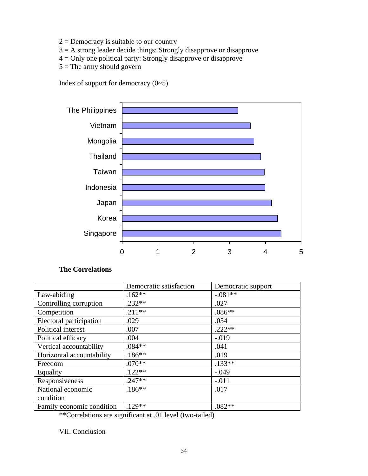- $2 =$  Democracy is suitable to our country
- $3 = A$  strong leader decide things: Strongly disapprove or disapprove
- 4 = Only one political party: Strongly disapprove or disapprove
- $5 =$ The army should govern

Index of support for democracy  $(0-5)$ 



# **The Correlations**

|                           | Democratic satisfaction | Democratic support |
|---------------------------|-------------------------|--------------------|
| Law-abiding               | $.162**$                | $-.081**$          |
| Controlling corruption    | $.232**$                | .027               |
| Competition               | $.211**$                | $.086**$           |
| Electoral participation   | .029                    | .054               |
| Political interest        | .007                    | $.222**$           |
| Political efficacy        | .004                    | $-.019$            |
| Vertical accountability   | $.084**$                | .041               |
| Horizontal accountability | $.186***$               | .019               |
| Freedom                   | $.070**$                | $.133**$           |
| Equality                  | $.122**$                | $-.049$            |
| Responsiveness            | $.247**$                | $-.011$            |
| National economic         | $.186***$               | .017               |
| condition                 |                         |                    |
| Family economic condition | $.129**$                | $.082**$           |

\*\*Correlations are significant at .01 level (two-tailed)

VII. Conclusion